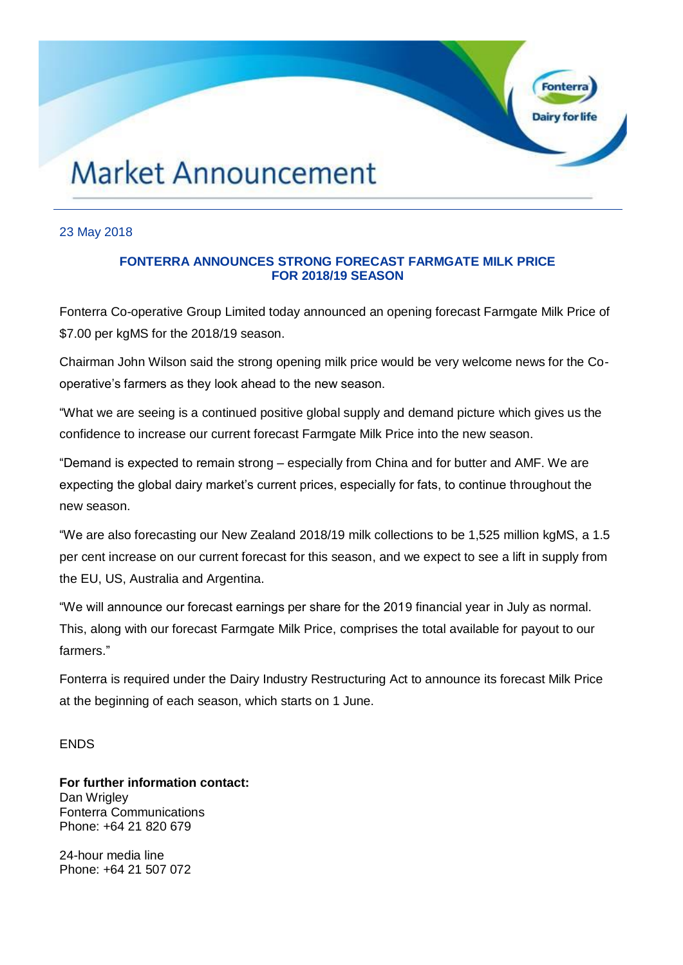# **Market Announcement**

### 23 May 2018

## **FONTERRA ANNOUNCES STRONG FORECAST FARMGATE MILK PRICE FOR 2018/19 SEASON**

Fonte

Dairy for life

Fonterra Co-operative Group Limited today announced an opening forecast Farmgate Milk Price of \$7.00 per kgMS for the 2018/19 season.

Chairman John Wilson said the strong opening milk price would be very welcome news for the Cooperative's farmers as they look ahead to the new season.

"What we are seeing is a continued positive global supply and demand picture which gives us the confidence to increase our current forecast Farmgate Milk Price into the new season.

"Demand is expected to remain strong – especially from China and for butter and AMF. We are expecting the global dairy market's current prices, especially for fats, to continue throughout the new season.

"We are also forecasting our New Zealand 2018/19 milk collections to be 1,525 million kgMS, a 1.5 per cent increase on our current forecast for this season, and we expect to see a lift in supply from the EU, US, Australia and Argentina.

"We will announce our forecast earnings per share for the 2019 financial year in July as normal. This, along with our forecast Farmgate Milk Price, comprises the total available for payout to our farmers."

Fonterra is required under the Dairy Industry Restructuring Act to announce its forecast Milk Price at the beginning of each season, which starts on 1 June.

#### **FNDS**

**For further information contact:** Dan Wrigley Fonterra Communications Phone: +64 21 820 679

24-hour media line Phone: +64 21 507 072